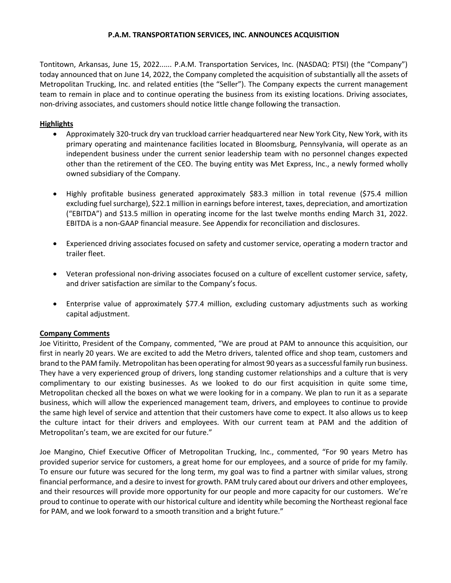#### **P.A.M. TRANSPORTATION SERVICES, INC. ANNOUNCES ACQUISITION**

Tontitown, Arkansas, June 15, 2022...... P.A.M. Transportation Services, Inc. (NASDAQ: PTSI) (the "Company") today announced that on June 14, 2022, the Company completed the acquisition of substantially all the assets of Metropolitan Trucking, Inc. and related entities (the "Seller"). The Company expects the current management team to remain in place and to continue operating the business from its existing locations. Driving associates, non-driving associates, and customers should notice little change following the transaction.

# **Highlights**

- Approximately 320-truck dry van truckload carrier headquartered near New York City, New York, with its primary operating and maintenance facilities located in Bloomsburg, Pennsylvania, will operate as an independent business under the current senior leadership team with no personnel changes expected other than the retirement of the CEO. The buying entity was Met Express, Inc., a newly formed wholly owned subsidiary of the Company.
- Highly profitable business generated approximately \$83.3 million in total revenue (\$75.4 million excluding fuel surcharge), \$22.1 million in earnings before interest, taxes, depreciation, and amortization ("EBITDA") and \$13.5 million in operating income for the last twelve months ending March 31, 2022. EBITDA is a non-GAAP financial measure. See Appendix for reconciliation and disclosures.
- Experienced driving associates focused on safety and customer service, operating a modern tractor and trailer fleet.
- Veteran professional non-driving associates focused on a culture of excellent customer service, safety, and driver satisfaction are similar to the Company's focus.
- Enterprise value of approximately \$77.4 million, excluding customary adjustments such as working capital adjustment.

# **Company Comments**

Joe Vitiritto, President of the Company, commented, "We are proud at PAM to announce this acquisition, our first in nearly 20 years. We are excited to add the Metro drivers, talented office and shop team, customers and brand to the PAM family. Metropolitan has been operating for almost 90 years as a successful family run business. They have a very experienced group of drivers, long standing customer relationships and a culture that is very complimentary to our existing businesses. As we looked to do our first acquisition in quite some time, Metropolitan checked all the boxes on what we were looking for in a company. We plan to run it as a separate business, which will allow the experienced management team, drivers, and employees to continue to provide the same high level of service and attention that their customers have come to expect. It also allows us to keep the culture intact for their drivers and employees. With our current team at PAM and the addition of Metropolitan's team, we are excited for our future."

Joe Mangino, Chief Executive Officer of Metropolitan Trucking, Inc., commented, "For 90 years Metro has provided superior service for customers, a great home for our employees, and a source of pride for my family. To ensure our future was secured for the long term, my goal was to find a partner with similar values, strong financial performance, and a desire to invest for growth. PAM truly cared about our drivers and other employees, and their resources will provide more opportunity for our people and more capacity for our customers. We're proud to continue to operate with our historical culture and identity while becoming the Northeast regional face for PAM, and we look forward to a smooth transition and a bright future."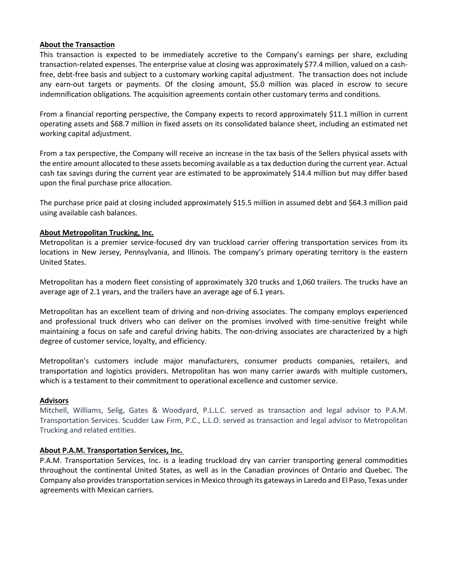# **About the Transaction**

This transaction is expected to be immediately accretive to the Company's earnings per share, excluding transaction-related expenses. The enterprise value at closing was approximately \$77.4 million, valued on a cashfree, debt-free basis and subject to a customary working capital adjustment. The transaction does not include any earn-out targets or payments. Of the closing amount, \$5.0 million was placed in escrow to secure indemnification obligations. The acquisition agreements contain other customary terms and conditions.

From a financial reporting perspective, the Company expects to record approximately \$11.1 million in current operating assets and \$68.7 million in fixed assets on its consolidated balance sheet, including an estimated net working capital adjustment.

From a tax perspective, the Company will receive an increase in the tax basis of the Sellers physical assets with the entire amount allocated to these assets becoming available as a tax deduction during the current year. Actual cash tax savings during the current year are estimated to be approximately \$14.4 million but may differ based upon the final purchase price allocation.

The purchase price paid at closing included approximately \$15.5 million in assumed debt and \$64.3 million paid using available cash balances.

#### **About Metropolitan Trucking, Inc.**

Metropolitan is a premier service-focused dry van truckload carrier offering transportation services from its locations in New Jersey, Pennsylvania, and Illinois. The company's primary operating territory is the eastern United States.

Metropolitan has a modern fleet consisting of approximately 320 trucks and 1,060 trailers. The trucks have an average age of 2.1 years, and the trailers have an average age of 6.1 years.

Metropolitan has an excellent team of driving and non-driving associates. The company employs experienced and professional truck drivers who can deliver on the promises involved with time-sensitive freight while maintaining a focus on safe and careful driving habits. The non-driving associates are characterized by a high degree of customer service, loyalty, and efficiency.

Metropolitan's customers include major manufacturers, consumer products companies, retailers, and transportation and logistics providers. Metropolitan has won many carrier awards with multiple customers, which is a testament to their commitment to operational excellence and customer service.

# **Advisors**

Mitchell, Williams, Selig, Gates & Woodyard, P.L.L.C. served as transaction and legal advisor to P.A.M. Transportation Services. Scudder Law Firm, P.C., L.L.O. served as transaction and legal advisor to Metropolitan Trucking and related entities.

# **About P.A.M. Transportation Services, Inc.**

P.A.M. Transportation Services, Inc. is a leading truckload dry van carrier transporting general commodities throughout the continental United States, as well as in the Canadian provinces of Ontario and Quebec. The Company also provides transportation services in Mexico through its gateways in Laredo and El Paso, Texas under agreements with Mexican carriers.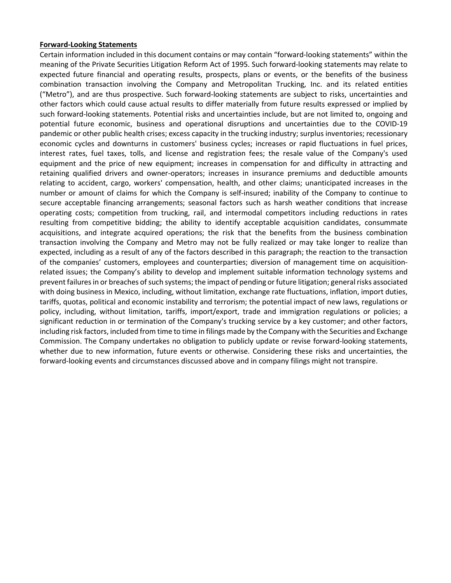#### **Forward-Looking Statements**

Certain information included in this document contains or may contain "forward-looking statements" within the meaning of the Private Securities Litigation Reform Act of 1995. Such forward-looking statements may relate to expected future financial and operating results, prospects, plans or events, or the benefits of the business combination transaction involving the Company and Metropolitan Trucking, Inc. and its related entities ("Metro"), and are thus prospective. Such forward-looking statements are subject to risks, uncertainties and other factors which could cause actual results to differ materially from future results expressed or implied by such forward-looking statements. Potential risks and uncertainties include, but are not limited to, ongoing and potential future economic, business and operational disruptions and uncertainties due to the COVID-19 pandemic or other public health crises; excess capacity in the trucking industry; surplus inventories; recessionary economic cycles and downturns in customers' business cycles; increases or rapid fluctuations in fuel prices, interest rates, fuel taxes, tolls, and license and registration fees; the resale value of the Company's used equipment and the price of new equipment; increases in compensation for and difficulty in attracting and retaining qualified drivers and owner-operators; increases in insurance premiums and deductible amounts relating to accident, cargo, workers' compensation, health, and other claims; unanticipated increases in the number or amount of claims for which the Company is self-insured; inability of the Company to continue to secure acceptable financing arrangements; seasonal factors such as harsh weather conditions that increase operating costs; competition from trucking, rail, and intermodal competitors including reductions in rates resulting from competitive bidding; the ability to identify acceptable acquisition candidates, consummate acquisitions, and integrate acquired operations; the risk that the benefits from the business combination transaction involving the Company and Metro may not be fully realized or may take longer to realize than expected, including as a result of any of the factors described in this paragraph; the reaction to the transaction of the companies' customers, employees and counterparties; diversion of management time on acquisitionrelated issues; the Company's ability to develop and implement suitable information technology systems and prevent failures in or breaches of such systems; the impact of pending or future litigation; general risks associated with doing business in Mexico, including, without limitation, exchange rate fluctuations, inflation, import duties, tariffs, quotas, political and economic instability and terrorism; the potential impact of new laws, regulations or policy, including, without limitation, tariffs, import/export, trade and immigration regulations or policies; a significant reduction in or termination of the Company's trucking service by a key customer; and other factors, including risk factors, included from time to time in filings made by the Company with the Securities and Exchange Commission. The Company undertakes no obligation to publicly update or revise forward-looking statements, whether due to new information, future events or otherwise. Considering these risks and uncertainties, the forward-looking events and circumstances discussed above and in company filings might not transpire.